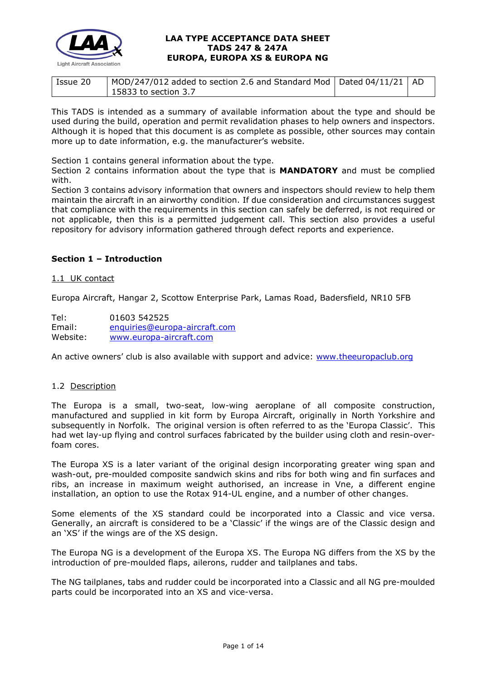

| Issue 20 | MOD/247/012 added to section 2.6 and Standard Mod   Dated 04/11/21   AD |  |
|----------|-------------------------------------------------------------------------|--|
|          | 15833 to section 3.7                                                    |  |

This TADS is intended as a summary of available information about the type and should be used during the build, operation and permit revalidation phases to help owners and inspectors. Although it is hoped that this document is as complete as possible, other sources may contain more up to date information, e.g. the manufacturer's website.

Section 1 contains general information about the type.

Section 2 contains information about the type that is **MANDATORY** and must be complied with.

Section 3 contains advisory information that owners and inspectors should review to help them maintain the aircraft in an airworthy condition. If due consideration and circumstances suggest that compliance with the requirements in this section can safely be deferred, is not required or not applicable, then this is a permitted judgement call. This section also provides a useful repository for advisory information gathered through defect reports and experience.

# **Section 1 – Introduction**

### 1.1 UK contact

Europa Aircraft, Hangar 2, Scottow Enterprise Park, Lamas Road, Badersfield, NR10 5FB

Tel: 01603 542525 Email: [enquiries@europa-aircraft.com](mailto:enquiries@europa-aircraft.com) Website: [www.europa-aircraft.com](http://www.europa-aircraft.com/)

An active owners' club is also available with support and advice: [www.theeuropaclub.org](http://www.theeuropaclub.org/)

### 1.2 Description

The Europa is a small, two-seat, low-wing aeroplane of all composite construction, manufactured and supplied in kit form by Europa Aircraft, originally in North Yorkshire and subsequently in Norfolk. The original version is often referred to as the 'Europa Classic'. This had wet lay-up flying and control surfaces fabricated by the builder using cloth and resin-overfoam cores.

The Europa XS is a later variant of the original design incorporating greater wing span and wash-out, pre-moulded composite sandwich skins and ribs for both wing and fin surfaces and ribs, an increase in maximum weight authorised, an increase in Vne, a different engine installation, an option to use the Rotax 914-UL engine, and a number of other changes.

Some elements of the XS standard could be incorporated into a Classic and vice versa. Generally, an aircraft is considered to be a 'Classic' if the wings are of the Classic design and an 'XS' if the wings are of the XS design.

The Europa NG is a development of the Europa XS. The Europa NG differs from the XS by the introduction of pre-moulded flaps, ailerons, rudder and tailplanes and tabs.

The NG tailplanes, tabs and rudder could be incorporated into a Classic and all NG pre-moulded parts could be incorporated into an XS and vice-versa.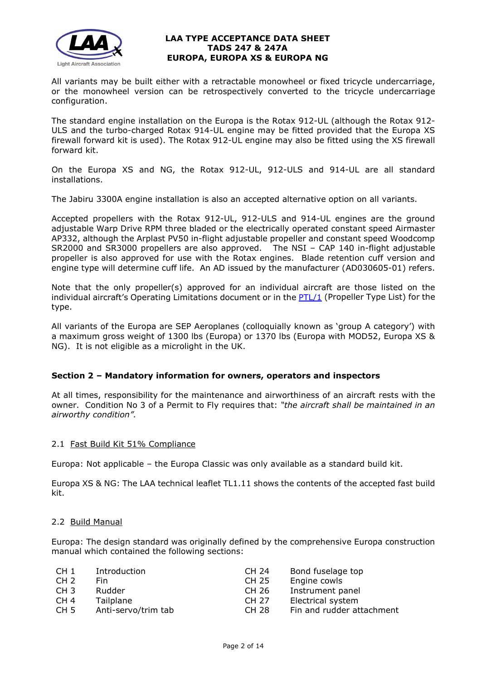

All variants may be built either with a retractable monowheel or fixed tricycle undercarriage, or the monowheel version can be retrospectively converted to the tricycle undercarriage configuration.

The standard engine installation on the Europa is the Rotax 912-UL (although the Rotax 912- ULS and the turbo-charged Rotax 914-UL engine may be fitted provided that the Europa XS firewall forward kit is used). The Rotax 912-UL engine may also be fitted using the XS firewall forward kit.

On the Europa XS and NG, the Rotax 912-UL, 912-ULS and 914-UL are all standard installations.

The Jabiru 3300A engine installation is also an accepted alternative option on all variants.

Accepted propellers with the Rotax 912-UL, 912-ULS and 914-UL engines are the ground adjustable Warp Drive RPM three bladed or the electrically operated constant speed Airmaster AP332, although the Arplast PV50 in-flight adjustable propeller and constant speed Woodcomp SR2000 and SR3000 propellers are also approved. The NSI – CAP 140 in-flight adjustable propeller is also approved for use with the Rotax engines. Blade retention cuff version and engine type will determine cuff life. An AD issued by the manufacturer (AD030605-01) refers.

Note that the only propeller(s) approved for an individual aircraft are those listed on the individual aircraft's Operating Limitations document or in the [PTL/1](http://www.lightaircraftassociation.co.uk/engineering/NewMods/PTL.html) (Propeller Type List) for the type.

All variants of the Europa are SEP Aeroplanes (colloquially known as 'group A category') with a maximum gross weight of 1300 lbs (Europa) or 1370 lbs (Europa with MOD52, Europa XS & NG). It is not eligible as a microlight in the UK.

### **Section 2 – Mandatory information for owners, operators and inspectors**

At all times, responsibility for the maintenance and airworthiness of an aircraft rests with the owner. Condition No 3 of a Permit to Fly requires that: *"the aircraft shall be maintained in an airworthy condition".* 

### 2.1 Fast Build Kit 51% Compliance

Europa: Not applicable – the Europa Classic was only available as a standard build kit.

Europa XS & NG: The LAA technical leaflet TL1.11 shows the contents of the accepted fast build kit.

### 2.2 Build Manual

Europa: The design standard was originally defined by the comprehensive Europa construction manual which contained the following sections:

| CH <sub>1</sub> | Introduction        | CH 24        | Bond fuselage top         |
|-----------------|---------------------|--------------|---------------------------|
| CH <sub>2</sub> | Fin.                | CH 25        | Engine cowls              |
| CH <sub>3</sub> | Rudder              | CH 26        | Instrument panel          |
| CH 4            | Tailplane           | CH 27        | Electrical system         |
| CH <sub>5</sub> | Anti-servo/trim tab | <b>CH 28</b> | Fin and rudder attachment |
|                 |                     |              |                           |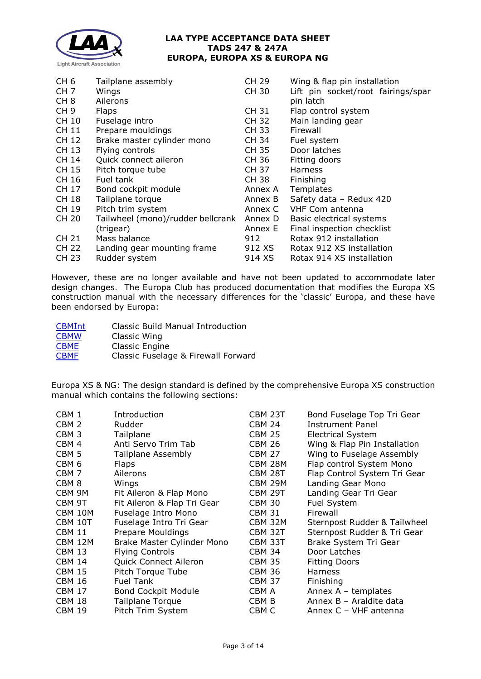

| CH <sub>6</sub> | Tailplane assembly                | CH 29        | Wing & flap pin installation       |
|-----------------|-----------------------------------|--------------|------------------------------------|
| CH <sub>7</sub> | Wings                             | <b>CH 30</b> | Lift pin socket/root fairings/spar |
| CH <sub>8</sub> | Ailerons                          |              | pin latch                          |
| CH <sub>9</sub> | <b>Flaps</b>                      | CH 31        | Flap control system                |
| CH 10           | Fuselage intro                    | CH 32        | Main landing gear                  |
| CH 11           | Prepare mouldings                 | CH 33        | Firewall                           |
| CH 12           | Brake master cylinder mono        | CH 34        | Fuel system                        |
| CH 13           | Flying controls                   | CH 35        | Door latches                       |
| CH 14           | Quick connect aileron             | CH 36        | Fitting doors                      |
| CH 15           | Pitch torque tube                 | CH 37        | <b>Harness</b>                     |
| CH 16           | Fuel tank                         | CH 38        | Finishing                          |
| CH 17           | Bond cockpit module               | Annex A      | Templates                          |
| CH 18           | Tailplane torque                  | Annex B      | Safety data - Redux 420            |
| CH 19           | Pitch trim system                 | Annex C      | <b>VHF Com antenna</b>             |
| CH 20           | Tailwheel (mono)/rudder bellcrank | Annex D      | Basic electrical systems           |
|                 | (trigear)                         | Annex E      | Final inspection checklist         |
| CH 21           | Mass balance                      | 912          | Rotax 912 installation             |
| CH 22           | Landing gear mounting frame       | 912 XS -     | Rotax 912 XS installation          |
| CH 23           | Rudder system                     | 914 XS       | Rotax 914 XS installation          |

However, these are no longer available and have not been updated to accommodate later design changes. The Europa Club has produced documentation that modifies the Europa XS construction manual with the necessary differences for the 'classic' Europa, and these have been endorsed by Europa:

| <b>CBMInt</b> | Classic Build Manual Introduction   |
|---------------|-------------------------------------|
| <b>CBMW</b>   | Classic Wing                        |
| <b>CBME</b>   | Classic Engine                      |
| <b>CBMF</b>   | Classic Fuselage & Firewall Forward |

Europa XS & NG: The design standard is defined by the comprehensive Europa XS construction manual which contains the following sections:

| CBM 1            | Introduction                | CBM 23T       | Bond Fuselage Top Tri Gear   |
|------------------|-----------------------------|---------------|------------------------------|
| CBM <sub>2</sub> | Rudder                      | <b>CBM 24</b> | <b>Instrument Panel</b>      |
| CBM <sub>3</sub> | Tailplane                   | <b>CBM 25</b> | <b>Electrical System</b>     |
| CBM 4            | Anti Servo Trim Tab         | <b>CBM 26</b> | Wing & Flap Pin Installation |
| CBM <sub>5</sub> | <b>Tailplane Assembly</b>   | <b>CBM 27</b> | Wing to Fuselage Assembly    |
| CBM <sub>6</sub> | <b>Flaps</b>                | CBM 28M       | Flap control System Mono     |
| CBM <sub>7</sub> | Ailerons                    | CBM 28T       | Flap Control System Tri Gear |
| CBM <sub>8</sub> | Wings                       | CBM 29M       | Landing Gear Mono            |
| CBM 9M           | Fit Aileron & Flap Mono     | CBM 29T       | Landing Gear Tri Gear        |
| CBM 9T           | Fit Aileron & Flap Tri Gear | <b>CBM 30</b> | Fuel System                  |
| CBM 10M          | Fuselage Intro Mono         | <b>CBM 31</b> | Firewall                     |
| CBM 10T          | Fuselage Intro Tri Gear     | CBM 32M       | Sternpost Rudder & Tailwheel |
| <b>CBM 11</b>    | Prepare Mouldings           | CBM 32T       | Sternpost Rudder & Tri Gear  |
| CBM 12M          | Brake Master Cylinder Mono  | CBM 33T       | Brake System Tri Gear        |
| <b>CBM 13</b>    | <b>Flying Controls</b>      | <b>CBM 34</b> | Door Latches                 |
| <b>CBM 14</b>    | Quick Connect Aileron       | <b>CBM 35</b> | <b>Fitting Doors</b>         |
| <b>CBM 15</b>    | Pitch Torque Tube           | <b>CBM 36</b> | <b>Harness</b>               |
| <b>CBM 16</b>    | <b>Fuel Tank</b>            | <b>CBM 37</b> | Finishing                    |
| <b>CBM 17</b>    | <b>Bond Cockpit Module</b>  | CBM A         | Annex $A -$ templates        |
| <b>CBM 18</b>    | <b>Tailplane Torque</b>     | CBM B         | Annex B - Araldite data      |
| CBM 19           | Pitch Trim System           | CBM C         | Annex C - VHF antenna        |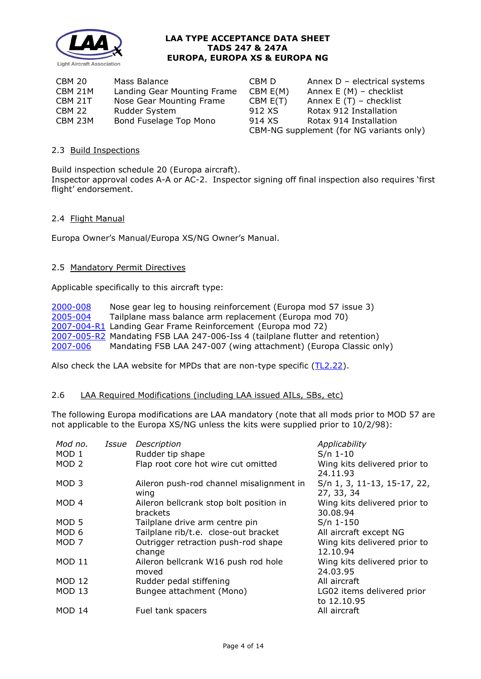

| CBM 20  | Mass Balance                | CBM D    | Annex $D -$ electrical systems           |
|---------|-----------------------------|----------|------------------------------------------|
| CBM 21M | Landing Gear Mounting Frame | CBM E(M) | Annex $E(M)$ – checklist                 |
| CBM 21T | Nose Gear Mounting Frame    | CBM E(T) | Annex $E(T)$ – checklist                 |
| CBM 22  | Rudder System               | 912 XS   | Rotax 912 Installation                   |
| CBM 23M | Bond Fuselage Top Mono      | 914 XS   | Rotax 914 Installation                   |
|         |                             |          | CBM-NG supplement (for NG variants only) |

### 2.3 Build Inspections

Build inspection schedule 20 (Europa aircraft). Inspector approval codes A-A or AC-2. Inspector signing off final inspection also requires 'first flight' endorsement.

### 2.4 Flight Manual

Europa Owner's Manual/Europa XS/NG Owner's Manual.

### 2.5 Mandatory Permit Directives

Applicable specifically to this aircraft type:

[2000-008](http://www.lightaircraftassociation.co.uk/engineering/TADs/247/MPD2000-008.pdf) Nose gear leg to housing reinforcement (Europa mod 57 issue 3)<br>2005-004 Tailplane mass balance arm replacement (Europa mod 70) Tailplane mass balance arm replacement (Europa mod 70) [2007-004-R1](http://www.lightaircraftassociation.co.uk/engineering/TADs/247/MPD2007-004.pdf) Landing Gear Frame Reinforcement (Europa mod 72) [2007-005-R2](http://www.lightaircraftassociation.co.uk/engineering/TADs/247/MPD2007-005.pdf) Mandating FSB LAA 247-006-Iss 4 (tailplane flutter and retention)<br>2007-006 Mandating FSB LAA 247-007 (wing attachment) (Europa Classic or Mandating FSB LAA 247-007 (wing attachment) (Europa Classic only)

Also check the LAA website for MPDs that are non-type specific [\(TL2.22\)](http://www.lightaircraftassociation.co.uk/engineering/TechnicalLeaflets/Operating%20An%20Aircraft/TL%202.22%20non-type%20specific%20MPDs.pdf).

### 2.6 LAA Required Modifications (including LAA issued AILs, SBs, etc)

The following Europa modifications are LAA mandatory (note that all mods prior to MOD 57 are not applicable to the Europa XS/NG unless the kits were supplied prior to 10/2/98):

| Mod no.<br>MOD <sub>1</sub><br>MOD <sub>2</sub> | Issue | Description<br>Rudder tip shape<br>Flap root core hot wire cut omitted | Applicability<br>$S/n$ 1-10<br>Wing kits delivered prior to<br>24.11.93 |
|-------------------------------------------------|-------|------------------------------------------------------------------------|-------------------------------------------------------------------------|
| MOD <sub>3</sub>                                |       | Aileron push-rod channel misalignment in<br>wing                       | S/n 1, 3, 11-13, 15-17, 22,<br>27, 33, 34                               |
| MOD <sub>4</sub>                                |       | Aileron bellcrank stop bolt position in<br>brackets                    | Wing kits delivered prior to<br>30.08.94                                |
| MOD <sub>5</sub>                                |       | Tailplane drive arm centre pin                                         | $S/n$ 1-150                                                             |
| MOD 6                                           |       | Tailplane rib/t.e. close-out bracket                                   | All aircraft except NG                                                  |
| MOD <sub>7</sub>                                |       | Outrigger retraction push-rod shape<br>change                          | Wing kits delivered prior to<br>12.10.94                                |
| <b>MOD 11</b>                                   |       | Aileron bellcrank W16 push rod hole<br>moved                           | Wing kits delivered prior to<br>24.03.95                                |
| <b>MOD 12</b>                                   |       | Rudder pedal stiffening                                                | All aircraft                                                            |
| <b>MOD 13</b>                                   |       | Bungee attachment (Mono)                                               | LG02 items delivered prior<br>to 12.10.95                               |
| <b>MOD 14</b>                                   |       | Fuel tank spacers                                                      | All aircraft                                                            |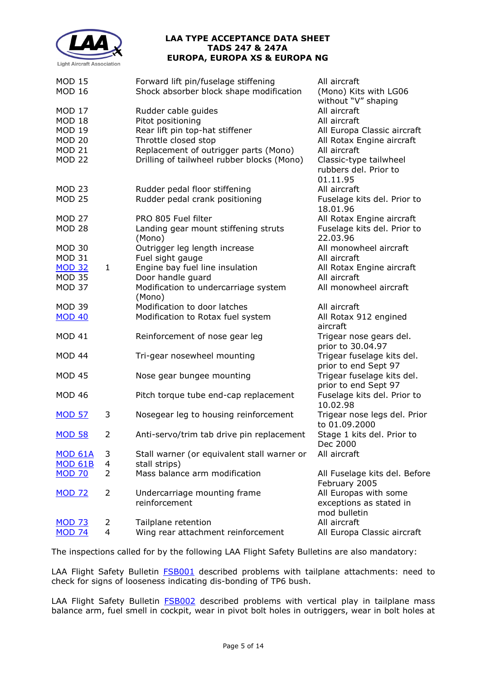

| <b>MOD 15</b><br><b>MOD 16</b> |                | Forward lift pin/fuselage stiffening<br>Shock absorber block shape modification     | All aircraft<br>(Mono) Kits with LG06<br>without "V" shaping |
|--------------------------------|----------------|-------------------------------------------------------------------------------------|--------------------------------------------------------------|
| <b>MOD 17</b><br><b>MOD 18</b> |                | Rudder cable guides<br>Pitot positioning                                            | All aircraft<br>All aircraft                                 |
| <b>MOD 19</b>                  |                | Rear lift pin top-hat stiffener                                                     | All Europa Classic aircraft                                  |
| <b>MOD 20</b>                  |                | Throttle closed stop                                                                | All Rotax Engine aircraft                                    |
| <b>MOD 21</b><br><b>MOD 22</b> |                | Replacement of outrigger parts (Mono)<br>Drilling of tailwheel rubber blocks (Mono) | All aircraft<br>Classic-type tailwheel                       |
|                                |                |                                                                                     | rubbers del. Prior to<br>01.11.95                            |
| <b>MOD 23</b>                  |                | Rudder pedal floor stiffening                                                       | All aircraft                                                 |
| <b>MOD 25</b>                  |                | Rudder pedal crank positioning                                                      | Fuselage kits del. Prior to<br>18.01.96                      |
| <b>MOD 27</b>                  |                | PRO 805 Fuel filter                                                                 | All Rotax Engine aircraft                                    |
| <b>MOD 28</b>                  |                | Landing gear mount stiffening struts<br>(Mono)                                      | Fuselage kits del. Prior to<br>22.03.96                      |
| <b>MOD 30</b>                  |                | Outrigger leg length increase                                                       | All monowheel aircraft                                       |
| <b>MOD 31</b>                  |                | Fuel sight gauge                                                                    | All aircraft                                                 |
| <b>MOD 32</b>                  | $\mathbf{1}$   | Engine bay fuel line insulation                                                     | All Rotax Engine aircraft                                    |
| <b>MOD 35</b>                  |                | Door handle guard                                                                   | All aircraft                                                 |
| <b>MOD 37</b>                  |                | Modification to undercarriage system<br>(Mono)                                      | All monowheel aircraft                                       |
| <b>MOD 39</b>                  |                | Modification to door latches                                                        | All aircraft                                                 |
| <b>MOD 40</b>                  |                | Modification to Rotax fuel system                                                   | All Rotax 912 engined<br>aircraft                            |
| <b>MOD 41</b>                  |                | Reinforcement of nose gear leg                                                      | Trigear nose gears del.<br>prior to 30.04.97                 |
| MOD 44                         |                | Tri-gear nosewheel mounting                                                         | Trigear fuselage kits del.<br>prior to end Sept 97           |
| <b>MOD 45</b>                  |                | Nose gear bungee mounting                                                           | Trigear fuselage kits del.<br>prior to end Sept 97           |
| <b>MOD 46</b>                  |                | Pitch torque tube end-cap replacement                                               | Fuselage kits del. Prior to<br>10.02.98                      |
| <b>MOD 57</b>                  | 3              | Nosegear leg to housing reinforcement                                               | Trigear nose legs del. Prior<br>to 01.09.2000                |
| <b>MOD 58</b>                  | $\overline{2}$ | Anti-servo/trim tab drive pin replacement                                           | Stage 1 kits del. Prior to<br>Dec 2000                       |
| <b>MOD 61A</b>                 | 3              | Stall warner (or equivalent stall warner or                                         | All aircraft                                                 |
| <b>MOD 61B</b>                 | 4              | stall strips)                                                                       |                                                              |
| <b>MOD 70</b>                  | $\overline{2}$ | Mass balance arm modification                                                       | All Fuselage kits del. Before<br>February 2005               |
| <b>MOD 72</b>                  | 2              | Undercarriage mounting frame                                                        | All Europas with some                                        |
|                                |                | reinforcement                                                                       | exceptions as stated in<br>mod bulletin                      |
| <b>MOD 73</b>                  | 2              | Tailplane retention                                                                 | All aircraft                                                 |
| <b>MOD 74</b>                  | $\overline{4}$ | Wing rear attachment reinforcement                                                  | All Europa Classic aircraft                                  |
|                                |                |                                                                                     |                                                              |

The inspections called for by the following LAA Flight Safety Bulletins are also mandatory:

LAA Flight Safety Bulletin [FSB001](http://www.lightaircraftassociation.co.uk/engineering/TADs/247/FSB001.pdf) described problems with tailplane attachments: need to check for signs of looseness indicating dis-bonding of TP6 bush.

LAA Flight Safety Bulletin **FSB002** described problems with vertical play in tailplane mass balance arm, fuel smell in cockpit, wear in pivot bolt holes in outriggers, wear in bolt holes at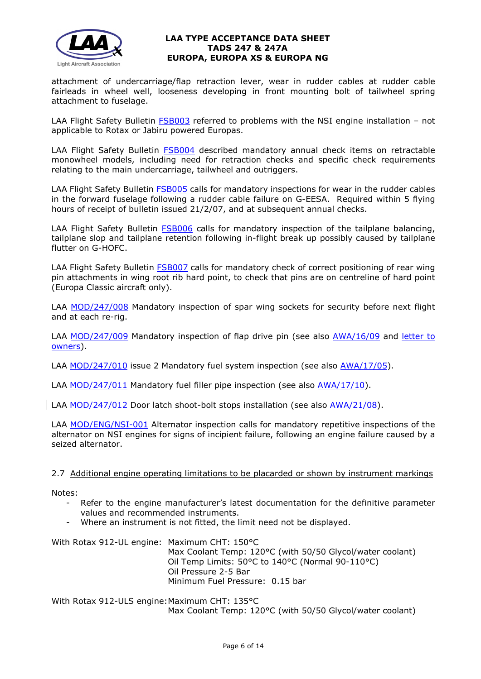

attachment of undercarriage/flap retraction lever, wear in rudder cables at rudder cable fairleads in wheel well, looseness developing in front mounting bolt of tailwheel spring attachment to fuselage.

LAA Flight Safety Bulletin [FSB003](http://www.lightaircraftassociation.co.uk/engineering/TADs/247/FSB003.pdf) referred to problems with the NSI engine installation - not applicable to Rotax or Jabiru powered Europas.

LAA Flight Safety Bulletin **FSB004** described mandatory annual check items on retractable monowheel models, including need for retraction checks and specific check requirements relating to the main undercarriage, tailwheel and outriggers.

LAA Flight Safety Bulletin **FSB005** calls for mandatory inspections for wear in the rudder cables in the forward fuselage following a rudder cable failure on G-EESA. Required within 5 flying hours of receipt of bulletin issued 21/2/07, and at subsequent annual checks.

LAA Flight Safety Bulletin [FSB006](http://www.lightaircraftassociation.co.uk/engineering/TADs/247/FSB006.pdf) calls for mandatory inspection of the tailplane balancing, tailplane slop and tailplane retention following in-flight break up possibly caused by tailplane flutter on G-HOFC.

LAA Flight Safety Bulletin **FSB007** calls for mandatory check of correct positioning of rear wing pin attachments in wing root rib hard point, to check that pins are on centreline of hard point (Europa Classic aircraft only).

LAA [MOD/247/008](http://www.lightaircraftassociation.co.uk/engineering/TADs/247/MOD%20247%20008%20issue%201.pdf) Mandatory inspection of spar wing sockets for security before next flight and at each re-rig.

LAA [MOD/247/009](http://www.lightaircraftassociation.co.uk/engineering/TADs/247/LAA%20MOD%20247%20009%20issue%201.pdf) Mandatory inspection of flap drive pin (see also [AWA/16/09](http://www.lightaircraftassociation.co.uk/engineering/TADs/247/LAA%20AWA%2016%2009%20-%20Europa%20-%20Flap%20Drive%20Pin.pdf) and letter to [owners\)](http://www.lightaircraftassociation.co.uk/engineering/TADs/247/Letter%20to%20Owners%20%20-%20%20Europa%20Flap%20Pin.pdf).

LAA [MOD/247/010](http://www.lightaircraftassociation.co.uk/engineering/TADs/247/LAA%20MOD%20247%20010%20issue%202.pdf) issue 2 Mandatory fuel system inspection (see also [AWA/17/05\)](http://www.lightaircraftassociation.co.uk/engineering/TADs/247/LAA%20AWA%2017%2005%20-%20Europa%20-%20Fuel%20system%20inspection.pdf).

LAA [MOD/247/011](http://www.lightaircraftassociation.co.uk/engineering/247.pdf) Mandatory fuel filler pipe inspection (see also [AWA/17/10\)](http://www.lightaircraftassociation.co.uk/engineering/Fuel%20Filler%20Pipe.pdf).

LAA [MOD/247/012](http://www.lightaircraftassociation.co.uk/Airworthiness/Europa/AIL%20MOD-247-012.pdf) Door latch shoot-bolt stops installation (see also [AWA/21/08\)](http://www.lightaircraftassociation.co.uk/Airworthiness/Europa/Europa%20Door%20Shoot-bolt%20Stop.pdf).

LAA [MOD/ENG/NSI-001](http://www.lightaircraftassociation.co.uk/engineering/TADs/247/NSI001.pdf) Alternator inspection calls for mandatory repetitive inspections of the alternator on NSI engines for signs of incipient failure, following an engine failure caused by a seized alternator.

### 2.7 Additional engine operating limitations to be placarded or shown by instrument markings

Notes:

- Refer to the engine manufacturer's latest documentation for the definitive parameter values and recommended instruments.
- Where an instrument is not fitted, the limit need not be displayed.

With Rotax 912-UL engine: Maximum CHT: 150°C Max Coolant Temp: 120°C (with 50/50 Glycol/water coolant) Oil Temp Limits: 50°C to 140°C (Normal 90-110°C) Oil Pressure 2-5 Bar Minimum Fuel Pressure: 0.15 bar

With Rotax 912-ULS engine: Maximum CHT: 135°C Max Coolant Temp: 120°C (with 50/50 Glycol/water coolant)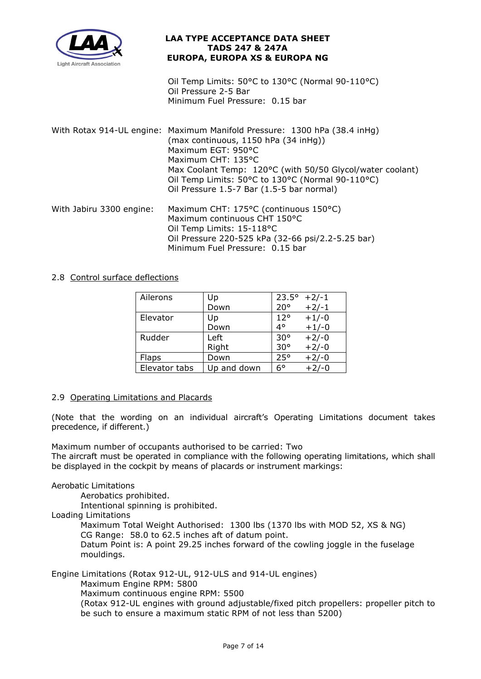

Oil Temp Limits: 50°C to 130°C (Normal 90-110°C) Oil Pressure 2-5 Bar Minimum Fuel Pressure: 0.15 bar

- With Rotax 914-UL engine: Maximum Manifold Pressure: 1300 hPa (38.4 inHg) (max continuous, 1150 hPa (34 inHg)) Maximum EGT: 950°C Maximum CHT: 135°C Max Coolant Temp: 120°C (with 50/50 Glycol/water coolant) Oil Temp Limits: 50°C to 130°C (Normal 90-110°C) Oil Pressure 1.5-7 Bar (1.5-5 bar normal) With Jabiru 3300 engine: Maximum CHT: 175°C (continuous 150°C) Maximum continuous CHT 150°C
- Oil Temp Limits: 15-118°C Oil Pressure 220-525 kPa (32-66 psi/2.2-5.25 bar) Minimum Fuel Pressure: 0.15 bar

# 2.8 Control surface deflections

| Ailerons      | Up          | $23.5^{\circ}$ | $+2/-1$ |
|---------------|-------------|----------------|---------|
|               | Down        | $20^{\circ}$   | $+2/-1$ |
| Elevator      | Up          | $12^{\circ}$   | $+1/-0$ |
|               | Down        | 4°             | $+1/-0$ |
| Rudder        | Left        | $30^{\circ}$   | $+2/-0$ |
|               | Right       | 30°            | $+2/-0$ |
| <b>Flaps</b>  | Down        | 25°            | $+2/-0$ |
| Elevator tabs | Up and down | 6°             | $+2/-0$ |

### 2.9 Operating Limitations and Placards

(Note that the wording on an individual aircraft's Operating Limitations document takes precedence, if different.)

Maximum number of occupants authorised to be carried: Two

The aircraft must be operated in compliance with the following operating limitations, which shall be displayed in the cockpit by means of placards or instrument markings:

### Aerobatic Limitations

Aerobatics prohibited.

Intentional spinning is prohibited.

Loading Limitations

Maximum Total Weight Authorised: 1300 lbs (1370 lbs with MOD 52, XS & NG) CG Range: 58.0 to 62.5 inches aft of datum point.

Datum Point is: A point 29.25 inches forward of the cowling joggle in the fuselage mouldings.

Engine Limitations (Rotax 912-UL, 912-ULS and 914-UL engines)

Maximum Engine RPM: 5800

Maximum continuous engine RPM: 5500

(Rotax 912-UL engines with ground adjustable/fixed pitch propellers: propeller pitch to be such to ensure a maximum static RPM of not less than 5200)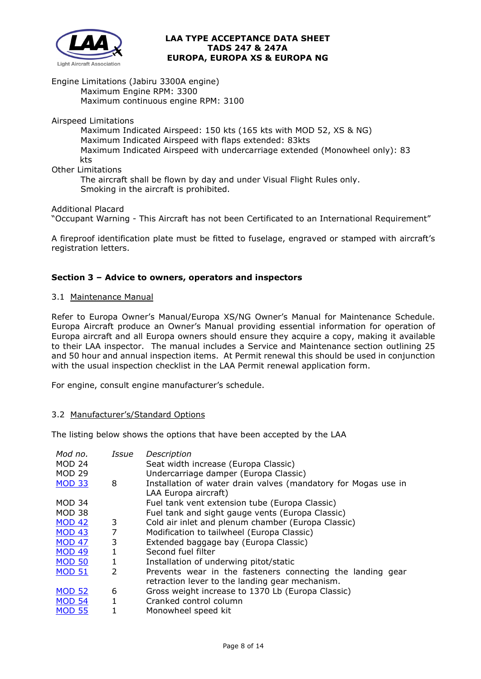

Engine Limitations (Jabiru 3300A engine) Maximum Engine RPM: 3300 Maximum continuous engine RPM: 3100

Airspeed Limitations

Maximum Indicated Airspeed: 150 kts (165 kts with MOD 52, XS & NG) Maximum Indicated Airspeed with flaps extended: 83kts Maximum Indicated Airspeed with undercarriage extended (Monowheel only): 83 kts

Other Limitations

The aircraft shall be flown by day and under Visual Flight Rules only. Smoking in the aircraft is prohibited.

Additional Placard

"Occupant Warning - This Aircraft has not been Certificated to an International Requirement"

A fireproof identification plate must be fitted to fuselage, engraved or stamped with aircraft's registration letters.

# **Section 3 – Advice to owners, operators and inspectors**

#### 3.1 Maintenance Manual

Refer to Europa Owner's Manual/Europa XS/NG Owner's Manual for Maintenance Schedule. Europa Aircraft produce an Owner's Manual providing essential information for operation of Europa aircraft and all Europa owners should ensure they acquire a copy, making it available to their LAA inspector. The manual includes a Service and Maintenance section outlining 25 and 50 hour and annual inspection items. At Permit renewal this should be used in conjunction with the usual inspection checklist in the LAA Permit renewal application form.

For engine, consult engine manufacturer's schedule.

### 3.2 Manufacturer's/Standard Options

The listing below shows the options that have been accepted by the LAA

| Mod no.       | Issue          | Description                                                    |
|---------------|----------------|----------------------------------------------------------------|
| <b>MOD 24</b> |                | Seat width increase (Europa Classic)                           |
| <b>MOD 29</b> |                | Undercarriage damper (Europa Classic)                          |
| <b>MOD 33</b> | 8              | Installation of water drain valves (mandatory for Mogas use in |
|               |                | LAA Europa aircraft)                                           |
| <b>MOD 34</b> |                | Fuel tank vent extension tube (Europa Classic)                 |
| <b>MOD 38</b> |                | Fuel tank and sight gauge vents (Europa Classic)               |
| <b>MOD 42</b> | 3              | Cold air inlet and plenum chamber (Europa Classic)             |
| <b>MOD 43</b> | 7              | Modification to tailwheel (Europa Classic)                     |
| <b>MOD 47</b> | 3              | Extended baggage bay (Europa Classic)                          |
| <b>MOD 49</b> | 1              | Second fuel filter                                             |
| <b>MOD 50</b> | 1              | Installation of underwing pitot/static                         |
| <b>MOD 51</b> | $\overline{2}$ | Prevents wear in the fasteners connecting the landing gear     |
|               |                | retraction lever to the landing gear mechanism.                |
| <b>MOD 52</b> | 6              | Gross weight increase to 1370 Lb (Europa Classic)              |
| <b>MOD 54</b> | $\mathbf{1}$   | Cranked control column                                         |
| <b>MOD 55</b> |                | Monowheel speed kit                                            |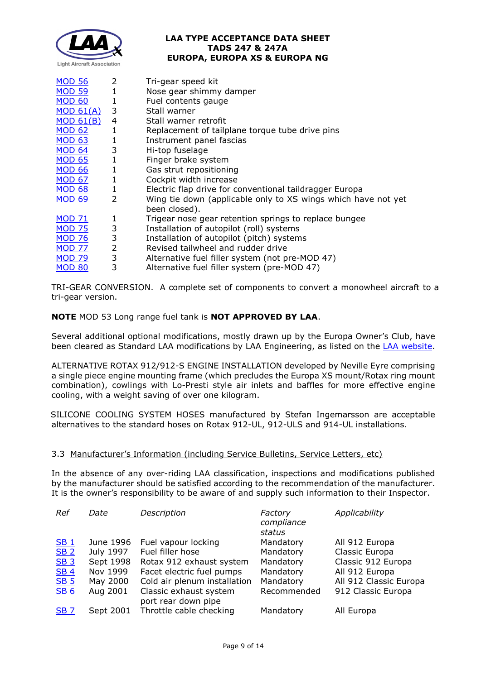

| <b>MOD 56</b> | 2              | Tri-gear speed kit                                            |
|---------------|----------------|---------------------------------------------------------------|
| <b>MOD 59</b> | $\mathbf{1}$   | Nose gear shimmy damper                                       |
| <b>MOD 60</b> | 1              | Fuel contents gauge                                           |
| MOD 61(A)     | 3              | Stall warner                                                  |
| MOD 61(B)     | 4              | Stall warner retrofit                                         |
| <b>MOD 62</b> | $\mathbf{1}$   | Replacement of tailplane torque tube drive pins               |
| <b>MOD 63</b> | $\mathbf{1}$   | Instrument panel fascias                                      |
| <b>MOD 64</b> | 3              | Hi-top fuselage                                               |
| <b>MOD 65</b> | $\mathbf{1}$   | Finger brake system                                           |
| <b>MOD 66</b> | $\mathbf 1$    | Gas strut repositioning                                       |
| <b>MOD 67</b> | 1              | Cockpit width increase                                        |
| <b>MOD 68</b> | $\mathbf 1$    | Electric flap drive for conventional taildragger Europa       |
| <b>MOD 69</b> | $\overline{2}$ | Wing tie down (applicable only to XS wings which have not yet |
|               |                | been closed).                                                 |
| <b>MOD 71</b> | 1              | Trigear nose gear retention springs to replace bungee         |
| <b>MOD 75</b> | 3              | Installation of autopilot (roll) systems                      |
| <b>MOD 76</b> | 3              | Installation of autopilot (pitch) systems                     |
| <b>MOD 77</b> | $\overline{2}$ | Revised tailwheel and rudder drive                            |
| <b>MOD 79</b> | 3              | Alternative fuel filler system (not pre-MOD 47)               |
| <b>MOD 80</b> | 3              | Alternative fuel filler system (pre-MOD 47)                   |

TRI-GEAR CONVERSION. A complete set of components to convert a monowheel aircraft to a tri-gear version.

# **NOTE** MOD 53 Long range fuel tank is **NOT APPROVED BY LAA**.

Several additional optional modifications, mostly drawn up by the Europa Owner's Club, have been cleared as Standard LAA modifications by LAA Engineering, as listed on the [LAA website.](http://www.lightaircraftassociation.co.uk/engineering/Standard%20Mods/europa.html)

ALTERNATIVE ROTAX 912/912-S ENGINE INSTALLATION developed by Neville Eyre comprising a single piece engine mounting frame (which precludes the Europa XS mount/Rotax ring mount combination), cowlings with Lo-Presti style air inlets and baffles for more effective engine cooling, with a weight saving of over one kilogram.

SILICONE COOLING SYSTEM HOSES manufactured by Stefan Ingemarsson are acceptable alternatives to the standard hoses on Rotax 912-UL, 912-ULS and 914-UL installations.

# 3.3 Manufacturer's Information (including Service Bulletins, Service Letters, etc)

In the absence of any over-riding LAA classification, inspections and modifications published by the manufacturer should be satisfied according to the recommendation of the manufacturer. It is the owner's responsibility to be aware of and supply such information to their Inspector.

| Ref             | Date      | Description                  | Factory<br>compliance<br>status | Applicability          |
|-----------------|-----------|------------------------------|---------------------------------|------------------------|
| SB <sub>1</sub> | June 1996 | Fuel vapour locking          | Mandatory                       | All 912 Europa         |
| SB <sub>2</sub> | July 1997 | Fuel filler hose             | Mandatory                       | Classic Europa         |
| SB <sub>3</sub> | Sept 1998 | Rotax 912 exhaust system     | Mandatory                       | Classic 912 Europa     |
| <b>SB4</b>      | Nov 1999  | Facet electric fuel pumps    | Mandatory                       | All 912 Europa         |
| <b>SB 5</b>     | May 2000  | Cold air plenum installation | Mandatory                       | All 912 Classic Europa |
| <b>SB 6</b>     | Aug 2001  | Classic exhaust system       | Recommended                     | 912 Classic Europa     |
|                 |           | port rear down pipe          |                                 |                        |
| <b>SB7</b>      | Sept 2001 | Throttle cable checking      | Mandatory                       | All Europa             |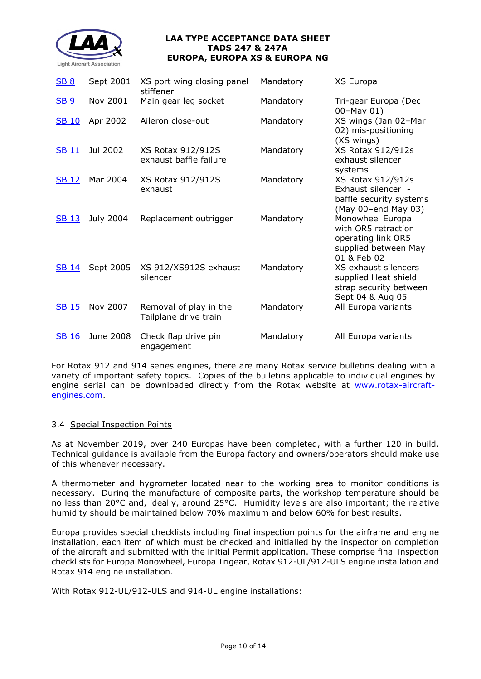

| <b>SB 8</b>  | Sept 2001 | XS port wing closing panel<br>stiffener         | Mandatory | XS Europa                                                                                            |
|--------------|-----------|-------------------------------------------------|-----------|------------------------------------------------------------------------------------------------------|
| <b>SB 9</b>  | Nov 2001  | Main gear leg socket                            | Mandatory | Tri-gear Europa (Dec<br>$00 - May 01)$                                                               |
| <b>SB 10</b> | Apr 2002  | Aileron close-out                               | Mandatory | XS wings (Jan 02-Mar<br>02) mis-positioning<br>(XS wings)                                            |
| <b>SB 11</b> | Jul 2002  | XS Rotax 912/912S<br>exhaust baffle failure     | Mandatory | XS Rotax 912/912s<br>exhaust silencer<br>systems                                                     |
| <b>SB 12</b> | Mar 2004  | XS Rotax 912/912S<br>exhaust                    | Mandatory | XS Rotax 912/912s<br>Exhaust silencer -<br>baffle security systems<br>(May 00-end May 03)            |
| <b>SB 13</b> | July 2004 | Replacement outrigger                           | Mandatory | Monowheel Europa<br>with OR5 retraction<br>operating link OR5<br>supplied between May<br>01 & Feb 02 |
| <b>SB 14</b> | Sept 2005 | XS 912/XS912S exhaust<br>silencer               | Mandatory | XS exhaust silencers<br>supplied Heat shield<br>strap security between<br>Sept 04 & Aug 05           |
| <b>SB 15</b> | Nov 2007  | Removal of play in the<br>Tailplane drive train | Mandatory | All Europa variants                                                                                  |
| <b>SB 16</b> | June 2008 | Check flap drive pin<br>engagement              | Mandatory | All Europa variants                                                                                  |

For Rotax 912 and 914 series engines, there are many Rotax service bulletins dealing with a variety of important safety topics. Copies of the bulletins applicable to individual engines by engine serial can be downloaded directly from the Rotax website at [www.rotax-aircraft](http://www.rotax-aircraft-engines.com/)[engines.com.](http://www.rotax-aircraft-engines.com/)

### 3.4 Special Inspection Points

As at November 2019, over 240 Europas have been completed, with a further 120 in build. Technical guidance is available from the Europa factory and owners/operators should make use of this whenever necessary.

A thermometer and hygrometer located near to the working area to monitor conditions is necessary. During the manufacture of composite parts, the workshop temperature should be no less than 20°C and, ideally, around 25°C. Humidity levels are also important; the relative humidity should be maintained below 70% maximum and below 60% for best results.

Europa provides special checklists including final inspection points for the airframe and engine installation, each item of which must be checked and initialled by the inspector on completion of the aircraft and submitted with the initial Permit application. These comprise final inspection checklists for Europa Monowheel, Europa Trigear, Rotax 912-UL/912-ULS engine installation and Rotax 914 engine installation.

With Rotax 912-UL/912-ULS and 914-UL engine installations: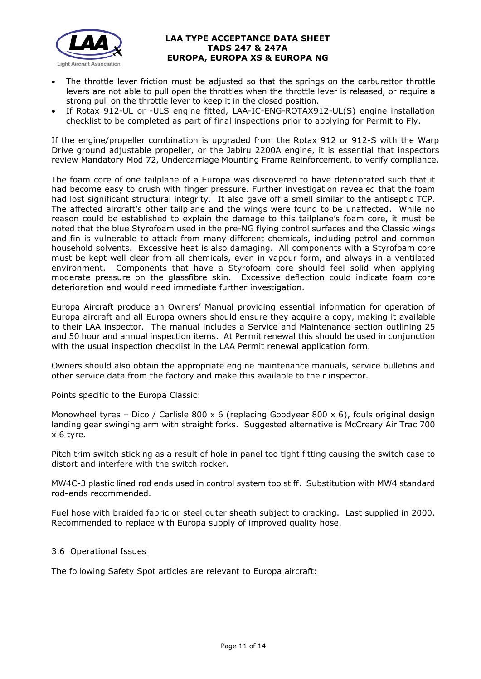

- The throttle lever friction must be adjusted so that the springs on the carburettor throttle levers are not able to pull open the throttles when the throttle lever is released, or require a strong pull on the throttle lever to keep it in the closed position.
- If Rotax 912-UL or -ULS engine fitted, LAA-IC-ENG-ROTAX912-UL(S) engine installation checklist to be completed as part of final inspections prior to applying for Permit to Fly.

If the engine/propeller combination is upgraded from the Rotax 912 or 912-S with the Warp Drive ground adjustable propeller, or the Jabiru 2200A engine, it is essential that inspectors review Mandatory Mod 72, Undercarriage Mounting Frame Reinforcement, to verify compliance.

The foam core of one tailplane of a Europa was discovered to have deteriorated such that it had become easy to crush with finger pressure. Further investigation revealed that the foam had lost significant structural integrity. It also gave off a smell similar to the antiseptic TCP. The affected aircraft's other tailplane and the wings were found to be unaffected. While no reason could be established to explain the damage to this tailplane's foam core, it must be noted that the blue Styrofoam used in the pre-NG flying control surfaces and the Classic wings and fin is vulnerable to attack from many different chemicals, including petrol and common household solvents. Excessive heat is also damaging. All components with a Styrofoam core must be kept well clear from all chemicals, even in vapour form, and always in a ventilated environment. Components that have a Styrofoam core should feel solid when applying moderate pressure on the glassfibre skin. Excessive deflection could indicate foam core deterioration and would need immediate further investigation.

Europa Aircraft produce an Owners' Manual providing essential information for operation of Europa aircraft and all Europa owners should ensure they acquire a copy, making it available to their LAA inspector. The manual includes a Service and Maintenance section outlining 25 and 50 hour and annual inspection items. At Permit renewal this should be used in conjunction with the usual inspection checklist in the LAA Permit renewal application form.

Owners should also obtain the appropriate engine maintenance manuals, service bulletins and other service data from the factory and make this available to their inspector.

Points specific to the Europa Classic:

Monowheel tyres – Dico / Carlisle 800 x 6 (replacing Goodyear 800 x 6), fouls original design landing gear swinging arm with straight forks. Suggested alternative is McCreary Air Trac 700 x 6 tyre.

Pitch trim switch sticking as a result of hole in panel too tight fitting causing the switch case to distort and interfere with the switch rocker.

MW4C-3 plastic lined rod ends used in control system too stiff. Substitution with MW4 standard rod-ends recommended.

Fuel hose with braided fabric or steel outer sheath subject to cracking. Last supplied in 2000. Recommended to replace with Europa supply of improved quality hose.

### 3.6 Operational Issues

The following Safety Spot articles are relevant to Europa aircraft: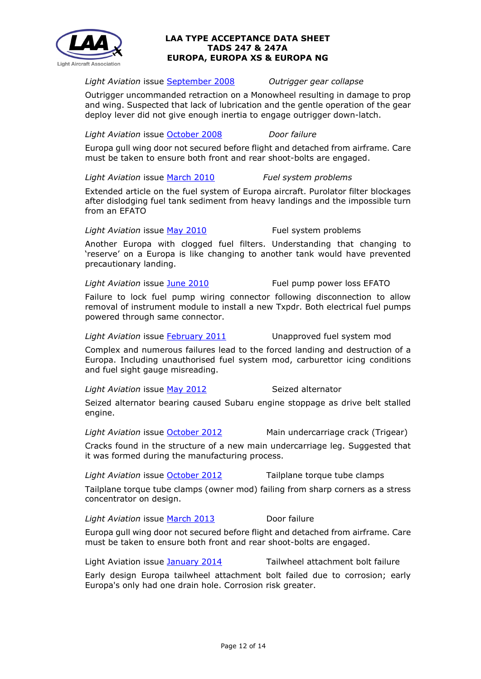

### *Light Aviation* issue [September 2008](http://www.lightaircraftassociation.co.uk/engineering/SafetyIssues/SafetySpotSep08.pdf) *Outrigger gear collapse*

Outrigger uncommanded retraction on a Monowheel resulting in damage to prop and wing. Suspected that lack of lubrication and the gentle operation of the gear deploy lever did not give enough inertia to engage outrigger down-latch.

*Light Aviation* issue [October 2008](http://www.lightaircraftassociation.co.uk/engineering/SafetyIssues/SafetySpotOct08.pdf) *Door failure*

Europa gull wing door not secured before flight and detached from airframe. Care must be taken to ensure both front and rear shoot-bolts are engaged.

*Light Aviation* issue [March 2010](http://www.lightaircraftassociation.co.uk/2010/Magazine/2010/March/safety_spot_03.pdf) *Fuel system problems*

Extended article on the fuel system of Europa aircraft. Purolator filter blockages after dislodging fuel tank sediment from heavy landings and the impossible turn from an EFATO

### Light Aviation issue May [2010](http://www.lightaircraftassociation.co.uk/2010/Magazine/2010/May/Safety_Spot_May.pdf) Fuel system problems

Another Europa with clogged fuel filters. Understanding that changing to 'reserve' on a Europa is like changing to another tank would have prevented precautionary landing.

### *Light Aviation* issue [June 2010](http://www.lightaircraftassociation.co.uk/2010/Magazine/2010/June/SafetySpot_Jun.pdf) Fuel pump power loss EFATO

Failure to lock fuel pump wiring connector following disconnection to allow removal of instrument module to install a new Txpdr. Both electrical fuel pumps powered through same connector.

Light Aviation issue [February 2011](http://www.lightaircraftassociation.co.uk/2010/Magazine/2011/Feb/Safety_Spot.pdf) Unapproved fuel system mod

Complex and numerous failures lead to the forced landing and destruction of a Europa. Including unauthorised fuel system mod, carburettor icing conditions and fuel sight gauge misreading.

### Light Aviation issue [May 2012](http://www.lightaircraftassociation.co.uk/2012/Magazine/May/Safety%20Spot.pdf) Seized alternator

Seized alternator bearing caused Subaru engine stoppage as drive belt stalled engine.

*Light Aviation* issue [October 2012](http://www.lightaircraftassociation.co.uk/2012/Magazine/October/safety%20spot.pdf) Main undercarriage crack (Trigear)

Cracks found in the structure of a new main undercarriage leg. Suggested that it was formed during the manufacturing process.

*Light Aviation* issue [October 2012](http://www.lightaircraftassociation.co.uk/2012/Magazine/October/safety%20spot.pdf) Tailplane torque tube clamps

Tailplane torque tube clamps (owner mod) failing from sharp corners as a stress concentrator on design.

*Light Aviation* issue [March 2013](http://www.lightaircraftassociation.co.uk/2013/Magazine/March/Safety_spot_mar.pdf) Door failure

Europa gull wing door not secured before flight and detached from airframe. Care must be taken to ensure both front and rear shoot-bolts are engaged.

Light Aviation issue [January 2014](http://www.lightaircraftassociation.co.uk/2014/Mag/Jan/safety%20spot.pdf) Tailwheel attachment bolt failure

Early design Europa tailwheel attachment bolt failed due to corrosion; early Europa's only had one drain hole. Corrosion risk greater.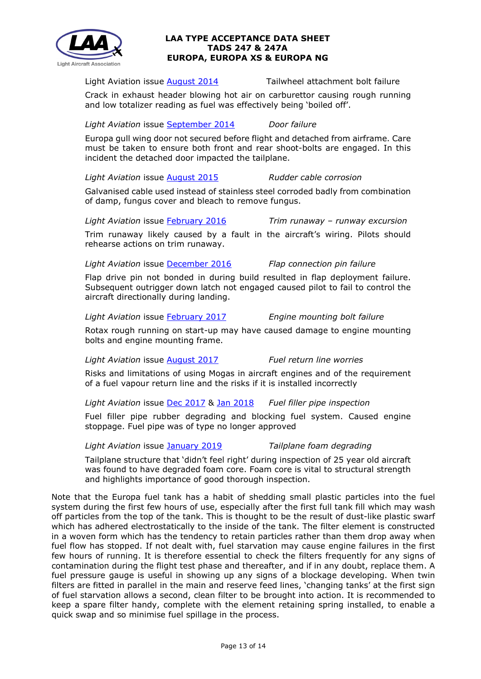

Light Aviation issue [August 2014](http://www.lightaircraftassociation.co.uk/2014/Mag/Aug/Safety%20Spot.pdf) Tailwheel attachment bolt failure

Crack in exhaust header blowing hot air on carburettor causing rough running and low totalizer reading as fuel was effectively being 'boiled off'.

### *Light Aviation* issue [September 2014](http://www.lightaircraftassociation.co.uk/2014/Mag/Sep/ssafety_spot.pdf) *Door failure*

Europa gull wing door not secured before flight and detached from airframe. Care must be taken to ensure both front and rear shoot-bolts are engaged. In this incident the detached door impacted the tailplane.

# *Light Aviation* issue [August 2015](http://www.lightaircraftassociation.co.uk/2015/Magazine/Aug/safety_spot.pdf) *Rudder cable corrosion*

Galvanised cable used instead of stainless steel corroded badly from combination of damp, fungus cover and bleach to remove fungus.

# *Light Aviation* issue [February 2016](http://www.lightaircraftassociation.co.uk/2016/Magazine/Feb/safety_spot.pdf) *Trim runaway – runway excursion*

Trim runaway likely caused by a fault in the aircraft's wiring. Pilots should rehearse actions on trim runaway.

# *Light Aviation* issue [December 2016](http://www.lightaircraftassociation.co.uk/2016/Magazine/Dec/Safety%20Spot.pdf) *Flap connection pin failure*

Flap drive pin not bonded in during build resulted in flap deployment failure. Subsequent outrigger down latch not engaged caused pilot to fail to control the aircraft directionally during landing.

# *Light Aviation* issue [February 2017](http://www.lightaircraftassociation.co.uk/2017/Magazine/Feb/safety_spot.pdf) *Engine mounting bolt failure*

Rotax rough running on start-up may have caused damage to engine mounting bolts and engine mounting frame.

*Light Aviation* issue [August 2017](http://www.lightaircraftassociation.co.uk/2017/Magazine/Aug/safety_aug.pdf) *Fuel return line worries*

Risks and limitations of using Mogas in aircraft engines and of the requirement of a fuel vapour return line and the risks if it is installed incorrectly

*Light Aviation* issue [Dec 2017](http://www.lightaircraftassociation.co.uk/2017/Magazine/Dec/SafetyDec.pdf) & [Jan 2018](http://www.lightaircraftassociation.co.uk/2018/Magazine/Jan/ss_jan.pdf) *Fuel filler pipe inspection*

Fuel filler pipe rubber degrading and blocking fuel system. Caused engine stoppage. Fuel pipe was of type no longer approved

# *Light Aviation* issue [January 2019](http://www.lightaircraftassociation.co.uk/2019/Magazine/Jan/Safety%20Spot.pdf) *Tailplane foam degrading*

Tailplane structure that 'didn't feel right' during inspection of 25 year old aircraft was found to have degraded foam core. Foam core is vital to structural strength and highlights importance of good thorough inspection.

Note that the Europa fuel tank has a habit of shedding small plastic particles into the fuel system during the first few hours of use, especially after the first full tank fill which may wash off particles from the top of the tank. This is thought to be the result of dust-like plastic swarf which has adhered electrostatically to the inside of the tank. The filter element is constructed in a woven form which has the tendency to retain particles rather than them drop away when fuel flow has stopped. If not dealt with, fuel starvation may cause engine failures in the first few hours of running. It is therefore essential to check the filters frequently for any signs of contamination during the flight test phase and thereafter, and if in any doubt, replace them. A fuel pressure gauge is useful in showing up any signs of a blockage developing. When twin filters are fitted in parallel in the main and reserve feed lines, 'changing tanks' at the first sign of fuel starvation allows a second, clean filter to be brought into action. It is recommended to keep a spare filter handy, complete with the element retaining spring installed, to enable a quick swap and so minimise fuel spillage in the process.